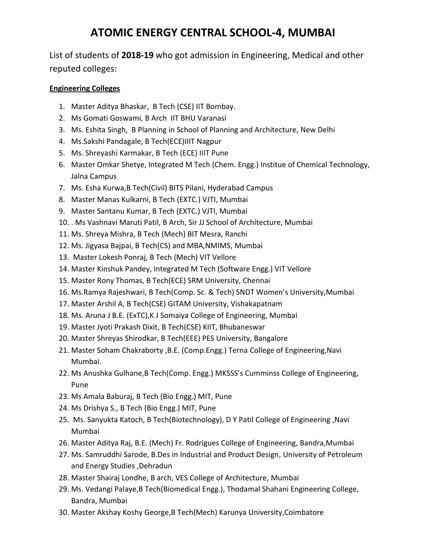## **ATOMIC ENERGY CENTRAL SCHOOL-4, MUMBAI**

List of students of **2018-19** who got admission in Engineering, Medical and other reputed colleges:

## **Engineering Colleges**

- 1. Master Aditya Bhaskar, B Tech (CSE) IIT Bombay.
- 2. Ms Gomati Goswami, B Arch IIT BHU Varanasi
- 3. Ms. Eshita Singh, B Planning in School of Planning and Architecture, New Delhi
- 4. Ms.Sakshi Pandagale, B Tech(ECE)IIIT Nagpur
- 5. Ms. Shreyashi Karmakar, B Tech (ECE) IIIT Pune
- 6. Master Omkar Shetye, Integrated M Tech (Chem. Engg.) Institue of Chemical Technology, Jalna Campus
- 7. Ms. Esha Kurwa,B Tech(Civil) BITS Pilani, Hyderabad Campus
- 8. Master Manas Kulkarni, B Tech (EXTC.) VJTI, Mumbai
- 9. Master Santanu Kumar, B Tech (EXTC.) VJTI, Mumbai
- 10. . Ms Vashnavi Maruti Patil, B Arch, Sir JJ School of Architecture, Mumbai
- 11. Ms. Shreya Mishra, B Tech (Mech) BIT Mesra, Ranchi
- 12. Ms. Jigyasa Bajpai, B Tech(CS) and MBA,NMIMS, Mumbai
- 13. Master Lokesh Ponraj, B Tech (Mech) VIT Vellore
- 14. Master Kinshuk Pandey, Integrated M Tech (Software Engg.) VIT Vellore
- 15. Master Rony Thomas, B Tech(ECE) SRM University, Chennai
- 16. Ms.Ramya Rajeshwari, B Tech(Comp. Sc. & Tech) SNDT Women's University,Mumbai
- 17. Master Arshil A, B Tech(CSE) GITAM University, Vishakapatnam
- 18. Ms. Aruna J B.E. (ExTC),K J Somaiya College of Engineering, Mumbai
- 19. Master Jyoti Prakash Dixit, B Tech(CSE) KIIT, Bhubaneswar
- 20. Master Shreyas Shirodkar, B Tech(EEE) PES University, Bangalore
- 21. Master Soham Chakraborty ,B.E. (Comp.Engg.) Terna College of Engineering,Navi Mumbai.
- 22. Ms Anushka Gulhane,B Tech(Comp. Engg.) MKSSS's Cumminss College of Engineering, Pune
- 23. Ms Amala Baburaj, B Tech (Bio Engg.) MIT, Pune
- 24. Ms Drishya S., B Tech (Bio Engg.) MIT, Pune
- 25. Ms. Sanyukta Katoch, B Tech(Biotechnology), D Y Patil College of Engineering ,Navi Mumbai
- 26. Master Aditya Raj, B.E. (Mech) Fr. Rodrigues College of Engineering, Bandra,Mumbai
- 27. Ms. Samruddhi Sarode, B.Des in Industrial and Product Design, University of Petroleum and Energy Studies ,Dehradun
- 28. Master Shairaj Londhe, B arch, VES College of Architecture, Mumbai
- 29. Ms. Vedangi Palaye,B Tech(Biomedical Engg.), Thodamal Shahani Engineering College, Bandra, Mumbai
- 30. Master Akshay Koshy George,B Tech(Mech) Karunya University,Coimbatore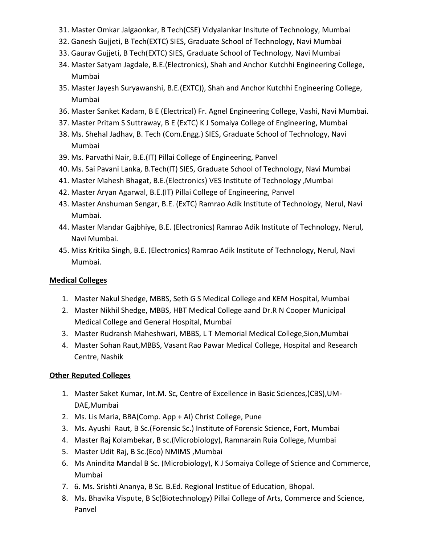- 31. Master Omkar Jalgaonkar, B Tech(CSE) Vidyalankar Insitute of Technology, Mumbai
- 32. Ganesh Gujjeti, B Tech(EXTC) SIES, Graduate School of Technology, Navi Mumbai
- 33. Gaurav Gujjeti, B Tech(EXTC) SIES, Graduate School of Technology, Navi Mumbai
- 34. Master Satyam Jagdale, B.E.(Electronics), Shah and Anchor Kutchhi Engineering College, Mumbai
- 35. Master Jayesh Suryawanshi, B.E.(EXTC)), Shah and Anchor Kutchhi Engineering College, Mumbai
- 36. Master Sanket Kadam, B E (Electrical) Fr. Agnel Engineering College, Vashi, Navi Mumbai.
- 37. Master Pritam S Suttraway, B E (ExTC) K J Somaiya College of Engineering, Mumbai
- 38. Ms. Shehal Jadhav, B. Tech (Com.Engg.) SIES, Graduate School of Technology, Navi Mumbai
- 39. Ms. Parvathi Nair, B.E.(IT) Pillai College of Engineering, Panvel
- 40. Ms. Sai Pavani Lanka, B.Tech(IT) SIES, Graduate School of Technology, Navi Mumbai
- 41. Master Mahesh Bhagat, B.E.(Electronics) VES Institute of Technology ,Mumbai
- 42. Master Aryan Agarwal, B.E.(IT) Pillai College of Engineering, Panvel
- 43. Master Anshuman Sengar, B.E. (ExTC) Ramrao Adik Institute of Technology, Nerul, Navi Mumbai.
- 44. Master Mandar Gajbhiye, B.E. (Electronics) Ramrao Adik Institute of Technology, Nerul, Navi Mumbai.
- 45. Miss Kritika Singh, B.E. (Electronics) Ramrao Adik Institute of Technology, Nerul, Navi Mumbai.

## **Medical Colleges**

- 1. Master Nakul Shedge, MBBS, Seth G S Medical College and KEM Hospital, Mumbai
- 2. Master Nikhil Shedge, MBBS, HBT Medical College aand Dr.R N Cooper Municipal Medical College and General Hospital, Mumbai
- 3. Master Rudransh Maheshwari, MBBS, L T Memorial Medical College,Sion,Mumbai
- 4. Master Sohan Raut,MBBS, Vasant Rao Pawar Medical College, Hospital and Research Centre, Nashik

## **Other Reputed Colleges**

- 1. Master Saket Kumar, Int.M. Sc, Centre of Excellence in Basic Sciences,(CBS),UM-DAE,Mumbai
- 2. Ms. Lis Maria, BBA(Comp. App + AI) Christ College, Pune
- 3. Ms. Ayushi Raut, B Sc.(Forensic Sc.) Institute of Forensic Science, Fort, Mumbai
- 4. Master Raj Kolambekar, B sc.(Microbiology), Ramnarain Ruia College, Mumbai
- 5. Master Udit Raj, B Sc.(Eco) NMIMS ,Mumbai
- 6. Ms Anindita Mandal B Sc. (Microbiology), K J Somaiya College of Science and Commerce, Mumbai
- 7. 6. Ms. Srishti Ananya, B Sc. B.Ed. Regional Institue of Education, Bhopal.
- 8. Ms. Bhavika Vispute, B Sc(Biotechnology) Pillai College of Arts, Commerce and Science, Panvel